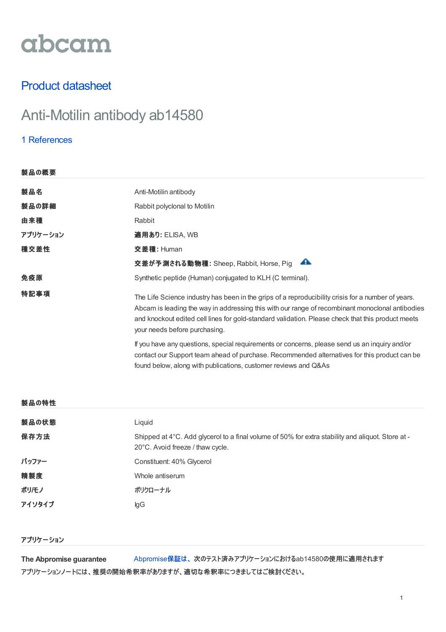# abcam

# Product datasheet

# Anti-Motilin antibody ab14580

## 1 [References](https://failover-www.abcam.co.jp/motilin-antibody-ab14580.html#description_references)

| 製品の概要    |                                                                                                                                                                                                                                                                                                                                             |  |
|----------|---------------------------------------------------------------------------------------------------------------------------------------------------------------------------------------------------------------------------------------------------------------------------------------------------------------------------------------------|--|
| 製品名      | Anti-Motilin antibody                                                                                                                                                                                                                                                                                                                       |  |
| 製品の詳細    | Rabbit polyclonal to Motilin                                                                                                                                                                                                                                                                                                                |  |
| 由来種      | Rabbit                                                                                                                                                                                                                                                                                                                                      |  |
| アプリケーション | 適用あり: ELISA, WB                                                                                                                                                                                                                                                                                                                             |  |
| 種交差性     | <b>交差種: Human</b>                                                                                                                                                                                                                                                                                                                           |  |
|          | ▲<br>交差が予測される動物種: Sheep, Rabbit, Horse, Pig                                                                                                                                                                                                                                                                                                 |  |
| 免疫原      | Synthetic peptide (Human) conjugated to KLH (C terminal).                                                                                                                                                                                                                                                                                   |  |
| 特記事項     | The Life Science industry has been in the grips of a reproducibility crisis for a number of years.<br>Abcam is leading the way in addressing this with our range of recombinant monoclonal antibodies<br>and knockout edited cell lines for gold-standard validation. Please check that this product meets<br>your needs before purchasing. |  |
|          | If you have any questions, special requirements or concerns, please send us an inquiry and/or<br>contact our Support team ahead of purchase. Recommended alternatives for this product can be<br>found below, along with publications, customer reviews and Q&As                                                                            |  |
|          |                                                                                                                                                                                                                                                                                                                                             |  |

| 製品の状態  | Liquid                                                                                                                                |
|--------|---------------------------------------------------------------------------------------------------------------------------------------|
| 保存方法   | Shipped at 4°C. Add glycerol to a final volume of 50% for extra stability and aliquot. Store at -<br>20°C. Avoid freeze / thaw cycle. |
| バッファー  | Constituent: 40% Glycerol                                                                                                             |
| 精製度    | Whole antiserum                                                                                                                       |
| ポリ/モノ  | ポリクローナル                                                                                                                               |
| アイソタイプ | lgG                                                                                                                                   |

#### アプリケーション

製品の特性

**The Abpromise guarantee** [Abpromise](https://failover-www.abcam.co.jp/abpromise)保証は、 次のテスト済みアプリケーションにおけるab14580の使用に適用されます アプリケーションノートには、推奨の開始希釈率がありますが、適切な希釈率につきましてはご検討ください。